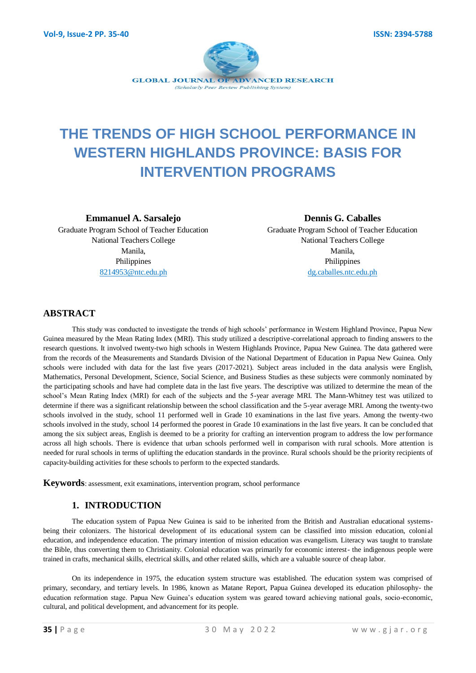

# **THE TRENDS OF HIGH SCHOOL PERFORMANCE IN WESTERN HIGHLANDS PROVINCE: BASIS FOR INTERVENTION PROGRAMS**

**Emmanuel A. Sarsalejo** Graduate Program School of Teacher Education National Teachers College Manila, Philippines 8214953@ntc.edu.ph

**Dennis G. Caballes**

Graduate Program School of Teacher Education National Teachers College Manila, Philippines dg.caballes.ntc.edu.ph

## **ABSTRACT**

This study was conducted to investigate the trends of high schools' performance in Western Highland Province, Papua New Guinea measured by the Mean Rating Index (MRI). This study utilized a descriptive-correlational approach to finding answers to the research questions. It involved twenty-two high schools in Western Highlands Province, Papua New Guinea. The data gathered were from the records of the Measurements and Standards Division of the National Department of Education in Papua New Guinea. Only schools were included with data for the last five years (2017-2021). Subject areas included in the data analysis were English, Mathematics, Personal Development, Science, Social Science, and Business Studies as these subjects were commonly nominated by the participating schools and have had complete data in the last five years. The descriptive was utilized to determine the mean of the school's Mean Rating Index (MRI) for each of the subjects and the 5-year average MRI. The Mann-Whitney test was utilized to determine if there was a significant relationship between the school classification and the 5-year average MRI. Among the twenty-two schools involved in the study, school 11 performed well in Grade 10 examinations in the last five years. Among the twenty-two schools involved in the study, school 14 performed the poorest in Grade 10 examinations in the last five years. It can be concluded that among the six subject areas, English is deemed to be a priority for crafting an intervention program to address the low performance across all high schools. There is evidence that urban schools performed well in comparison with rural schools. More attention is needed for rural schools in terms of uplifting the education standards in the province. Rural schools should be the priority recipients of capacity-building activities for these schools to perform to the expected standards.

**Keywords**: assessment, exit examinations, intervention program, school performance

## **1. INTRODUCTION**

The education system of Papua New Guinea is said to be inherited from the British and Australian educational systemsbeing their colonizers. The historical development of its educational system can be classified into mission education, colonial education, and independence education. The primary intention of mission education was evangelism. Literacy was taught to translate the Bible, thus converting them to Christianity. Colonial education was primarily for economic interest- the indigenous people were trained in crafts, mechanical skills, electrical skills, and other related skills, which are a valuable source of cheap labor.

On its independence in 1975, the education system structure was established. The education system was comprised of primary, secondary, and tertiary levels. In 1986, known as Matane Report, Papua Guinea developed its education philosophy- the education reformation stage. Papua New Guinea's education system was geared toward achieving national goals, socio-economic, cultural, and political development, and advancement for its people.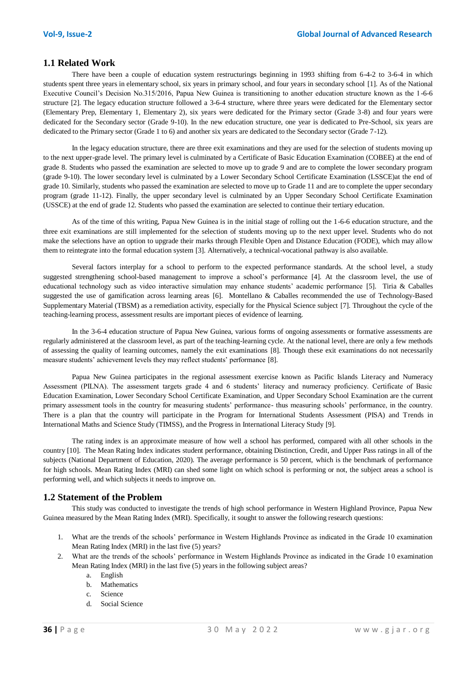#### **1.1 Related Work**

There have been a couple of education system restructurings beginning in 1993 shifting from 6-4-2 to 3-6-4 in which students spent three years in elementary school, six years in primary school, and four years in secondary school [1]. As of the National Executive Council's Decision No.315/2016, Papua New Guinea is transitioning to another education structure known as the 1-6-6 structure [2]. The legacy education structure followed a 3-6-4 structure, where three years were dedicated for the Elementary sector (Elementary Prep, Elementary 1, Elementary 2), six years were dedicated for the Primary sector (Grade 3-8) and four years were dedicated for the Secondary sector (Grade 9-10). In the new education structure, one year is dedicated to Pre-School, six years are dedicated to the Primary sector (Grade 1 to 6) and another six years are dedicated to the Secondary sector (Grade 7-12).

In the legacy education structure, there are three exit examinations and they are used for the selection of students moving up to the next upper-grade level. The primary level is culminated by a Certificate of Basic Education Examination (COBEE) at the end of grade 8. Students who passed the examination are selected to move up to grade 9 and are to complete the lower secondary program (grade 9-10). The lower secondary level is culminated by a Lower Secondary School Certificate Examination (LSSCE)at the end of grade 10. Similarly, students who passed the examination are selected to move up to Grade 11 and are to complete the upper secondary program (grade 11-12). Finally, the upper secondary level is culminated by an Upper Secondary School Certificate Examination (USSCE) at the end of grade 12. Students who passed the examination are selected to continue their tertiary education.

As of the time of this writing, Papua New Guinea is in the initial stage of rolling out the 1-6-6 education structure, and the three exit examinations are still implemented for the selection of students moving up to the next upper level. Students who do not make the selections have an option to upgrade their marks through Flexible Open and Distance Education (FODE), which may allow them to reintegrate into the formal education system [3]. Alternatively, a technical-vocational pathway is also available.

Several factors interplay for a school to perform to the expected performance standards. At the school level, a study suggested strengthening school-based management to improve a school's performance [4]. At the classroom level, the use of educational technology such as video interactive simulation may enhance students' academic performance [5]. Tiria & Caballes suggested the use of gamification across learning areas [6]. Montellano & Caballes recommended the use of Technology-Based Supplementary Material (TBSM) as a remediation activity, especially for the Physical Science subject [7]. Throughout the cycle of the teaching-learning process, assessment results are important pieces of evidence of learning.

In the 3-6-4 education structure of Papua New Guinea, various forms of ongoing assessments or formative assessments are regularly administered at the classroom level, as part of the teaching-learning cycle. At the national level, there are only a few methods of assessing the quality of learning outcomes, namely the exit examinations [8]. Though these exit examinations do not necessarily measure students' achievement levels they may reflect students' performance [8].

Papua New Guinea participates in the regional assessment exercise known as Pacific Islands Literacy and Numeracy Assessment (PILNA). The assessment targets grade 4 and 6 students' literacy and numeracy proficiency. Certificate of Basic Education Examination, Lower Secondary School Certificate Examination, and Upper Secondary School Examination are the current primary assessment tools in the country for measuring students' performance- thus measuring schools' performance, in the country. There is a plan that the country will participate in the Program for International Students Assessment (PISA) and Trends in International Maths and Science Study (TIMSS), and the Progress in International Literacy Study [9].

The rating index is an approximate measure of how well a school has performed, compared with all other schools in the country [10]. The Mean Rating Index indicates student performance, obtaining Distinction, Credit, and Upper Pass ratings in all of the subjects (National Department of Education, 2020). The average performance is 50 percent, which is the benchmark of performance for high schools. Mean Rating Index (MRI) can shed some light on which school is performing or not, the subject areas a school is performing well, and which subjects it needs to improve on.

#### **1.2 Statement of the Problem**

This study was conducted to investigate the trends of high school performance in Western Highland Province, Papua New Guinea measured by the Mean Rating Index (MRI). Specifically, it sought to answer the following research questions:

- 1. What are the trends of the schools' performance in Western Highlands Province as indicated in the Grade 10 examination Mean Rating Index (MRI) in the last five (5) years?
- 2. What are the trends of the schools' performance in Western Highlands Province as indicated in the Grade 10 examination Mean Rating Index (MRI) in the last five (5) years in the following subject areas?
	- a. English
	- b. Mathematics
	- c. Science
	- d. Social Science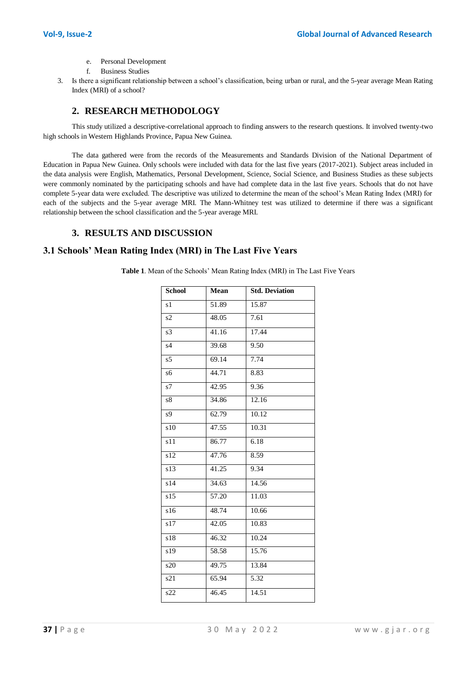- e. Personal Development
- f. Business Studies
- 3. Is there a significant relationship between a school's classification, being urban or rural, and the 5-year average Mean Rating Index (MRI) of a school?

## **2. RESEARCH METHODOLOGY**

This study utilized a descriptive-correlational approach to finding answers to the research questions. It involved twenty-two high schools in Western Highlands Province, Papua New Guinea.

The data gathered were from the records of the Measurements and Standards Division of the National Department of Education in Papua New Guinea. Only schools were included with data for the last five years (2017-2021). Subject areas included in the data analysis were English, Mathematics, Personal Development, Science, Social Science, and Business Studies as these subjects were commonly nominated by the participating schools and have had complete data in the last five years. Schools that do not have complete 5-year data were excluded. The descriptive was utilized to determine the mean of the school's Mean Rating Index (MRI) for each of the subjects and the 5-year average MRI. The Mann-Whitney test was utilized to determine if there was a significant relationship between the school classification and the 5-year average MRI.

## **3. RESULTS AND DISCUSSION**

#### **3.1 Schools' Mean Rating Index (MRI) in The Last Five Years**

**Table 1**. Mean of the Schools' Mean Rating Index (MRI) in The Last Five Years

| <b>School</b>  | <b>Mean</b> | <b>Std. Deviation</b> |
|----------------|-------------|-----------------------|
| s1             | 51.89       | 15.87                 |
| s2             | 48.05       | 7.61                  |
| s3             | 41.16       | 17.44                 |
| s4             | 39.68       | 9.50                  |
| s <sub>5</sub> | 69.14       | 7.74                  |
| s6             | 44.71       | 8.83                  |
| s7             | 42.95       | 9.36                  |
| s8             | 34.86       | 12.16                 |
| s <sub>9</sub> | 62.79       | 10.12                 |
| s10            | 47.55       | 10.31                 |
| s11            | 86.77       | 6.18                  |
| s12            | 47.76       | 8.59                  |
| s13            | 41.25       | 9.34                  |
| s14            | 34.63       | 14.56                 |
| s15            | 57.20       | 11.03                 |
| s16            | 48.74       | 10.66                 |
| s17            | 42.05       | 10.83                 |
| s18            | 46.32       | 10.24                 |
| s19            | 58.58       | 15.76                 |
| s20            | 49.75       | 13.84                 |
| s21            | 65.94       | 5.32                  |
| s22            | 46.45       | 14.51                 |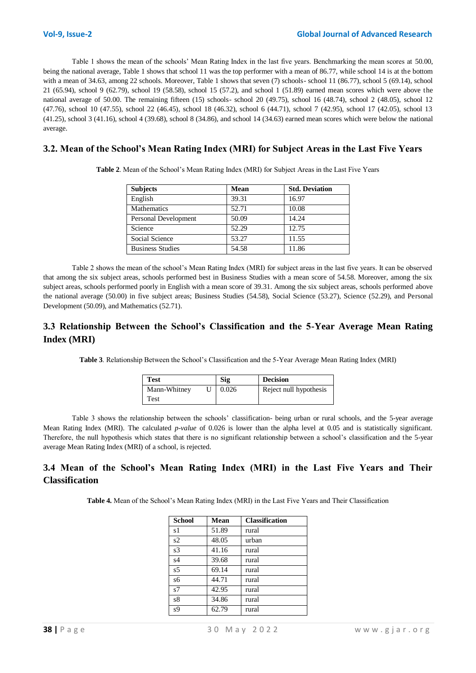Table 1 shows the mean of the schools' Mean Rating Index in the last five years. Benchmarking the mean scores at 50.00, being the national average, Table 1 shows that school 11 was the top performer with a mean of 86.77, while school 14 is at the bottom with a mean of 34.63, among 22 schools. Moreover, Table 1 shows that seven (7) schools- school 11 (86.77), school 5 (69.14), school 21 (65.94), school 9 (62.79), school 19 (58.58), school 15 (57.2), and school 1 (51.89) earned mean scores which were above the national average of 50.00. The remaining fifteen (15) schools- school 20 (49.75), school 16 (48.74), school 2 (48.05), school 12 (47.76), school 10 (47.55), school 22 (46.45), school 18 (46.32), school 6 (44.71), school 7 (42.95), school 17 (42.05), school 13 (41.25), school 3 (41.16), school 4 (39.68), school 8 (34.86), and school 14 (34.63) earned mean scores which were below the national average.

## **3.2. Mean of the School's Mean Rating Index (MRI) for Subject Areas in the Last Five Years**

**Table 2**. Mean of the School's Mean Rating Index (MRI) for Subject Areas in the Last Five Years

| <b>Subjects</b>         | Mean  | <b>Std. Deviation</b> |
|-------------------------|-------|-----------------------|
| English                 | 39.31 | 16.97                 |
| <b>Mathematics</b>      | 52.71 | 10.08                 |
| Personal Development    | 50.09 | 14.24                 |
| Science                 | 52.29 | 12.75                 |
| Social Science          | 53.27 | 11.55                 |
| <b>Business Studies</b> | 54.58 | 11.86                 |

Table 2 shows the mean of the school's Mean Rating Index (MRI) for subject areas in the last five years. It can be observed that among the six subject areas, schools performed best in Business Studies with a mean score of 54.58. Moreover, among the six subject areas, schools performed poorly in English with a mean score of 39.31. Among the six subject areas, schools performed above the national average (50.00) in five subject areas; Business Studies (54.58), Social Science (53.27), Science (52.29), and Personal Development (50.09), and Mathematics (52.71).

# **3.3 Relationship Between the School's Classification and the 5-Year Average Mean Rating Index (MRI)**

**Table 3**. Relationship Between the School's Classification and the 5-Year Average Mean Rating Index (MRI)

| <b>Test</b>  | Sig   | <b>Decision</b>        |
|--------------|-------|------------------------|
| Mann-Whitney | 0.026 | Reject null hypothesis |
| Test         |       |                        |

Table 3 shows the relationship between the schools' classification- being urban or rural schools, and the 5-year average Mean Rating Index (MRI). The calculated *p-value* of 0.026 is lower than the alpha level at 0.05 and is statistically significant. Therefore, the null hypothesis which states that there is no significant relationship between a school's classification and the 5-year average Mean Rating Index (MRI) of a school, is rejected.

# **3.4 Mean of the School's Mean Rating Index (MRI) in the Last Five Years and Their Classification**

**Table 4.** Mean of the School's Mean Rating Index (MRI) in the Last Five Years and Their Classification

| <b>School</b>  | Mean  | <b>Classification</b> |
|----------------|-------|-----------------------|
| s1             | 51.89 | rural                 |
| s2             | 48.05 | urban                 |
| s3             | 41.16 | rural                 |
| s4             | 39.68 | rural                 |
| s <sub>5</sub> | 69.14 | rural                 |
| sб             | 44.71 | rural                 |
| s7             | 42.95 | rural                 |
| s8             | 34.86 | rural                 |
| s <sub>9</sub> | 62.79 | rural                 |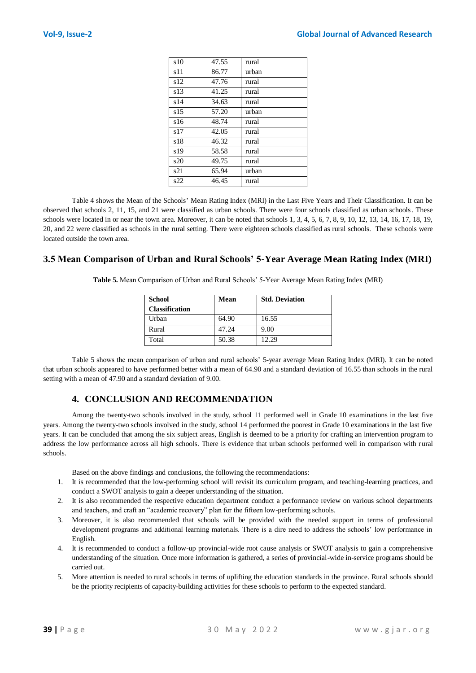| s10  | 47.55 | rural |
|------|-------|-------|
| s11  | 86.77 | urban |
| s12  | 47.76 | rural |
| s13  | 41.25 | rural |
| s14  | 34.63 | rural |
| s 15 | 57.20 | urban |
| s16  | 48.74 | rural |
| s17  | 42.05 | rural |
| s18  | 46.32 | rural |
| s19  | 58.58 | rural |
| s20  | 49.75 | rural |
| s21  | 65.94 | urban |
| s22  | 46.45 | rural |

Table 4 shows the Mean of the Schools' Mean Rating Index (MRI) in the Last Five Years and Their Classification. It can be observed that schools 2, 11, 15, and 21 were classified as urban schools. There were four schools classified as urban schools. These schools were located in or near the town area. Moreover, it can be noted that schools 1, 3, 4, 5, 6, 7, 8, 9, 10, 12, 13, 14, 16, 17, 18, 19, 20, and 22 were classified as schools in the rural setting. There were eighteen schools classified as rural schools. These s chools were located outside the town area.

## **3.5 Mean Comparison of Urban and Rural Schools' 5-Year Average Mean Rating Index (MRI)**

| Table 5. Mean Comparison of Urban and Rural Schools' 5-Year Average Mean Rating Index (MRI) |  |  |
|---------------------------------------------------------------------------------------------|--|--|
|---------------------------------------------------------------------------------------------|--|--|

| School                | Mean  | <b>Std. Deviation</b> |
|-----------------------|-------|-----------------------|
| <b>Classification</b> |       |                       |
| Urban                 | 64.90 | 16.55                 |
| Rural                 | 47.24 | 9.00                  |
| Total                 | 50.38 | 12.29                 |

Table 5 shows the mean comparison of urban and rural schools' 5-year average Mean Rating Index (MRI). It can be noted that urban schools appeared to have performed better with a mean of 64.90 and a standard deviation of 16.55 than schools in the rural setting with a mean of 47.90 and a standard deviation of 9.00.

# **4. CONCLUSION AND RECOMMENDATION**

Among the twenty-two schools involved in the study, school 11 performed well in Grade 10 examinations in the last five years. Among the twenty-two schools involved in the study, school 14 performed the poorest in Grade 10 examinations in the last five years. It can be concluded that among the six subject areas, English is deemed to be a priority for crafting an intervention program to address the low performance across all high schools. There is evidence that urban schools performed well in comparison with rural schools.

Based on the above findings and conclusions, the following the recommendations:

- 1. It is recommended that the low-performing school will revisit its curriculum program, and teaching-learning practices, and conduct a SWOT analysis to gain a deeper understanding of the situation.
- 2. It is also recommended the respective education department conduct a performance review on various school departments and teachers, and craft an "academic recovery" plan for the fifteen low-performing schools.
- 3. Moreover, it is also recommended that schools will be provided with the needed support in terms of professional development programs and additional learning materials. There is a dire need to address the schools' low performance in English.
- 4. It is recommended to conduct a follow-up provincial-wide root cause analysis or SWOT analysis to gain a comprehensive understanding of the situation. Once more information is gathered, a series of provincial-wide in-service programs should be carried out.
- 5. More attention is needed to rural schools in terms of uplifting the education standards in the province. Rural schools should be the priority recipients of capacity-building activities for these schools to perform to the expected standard.